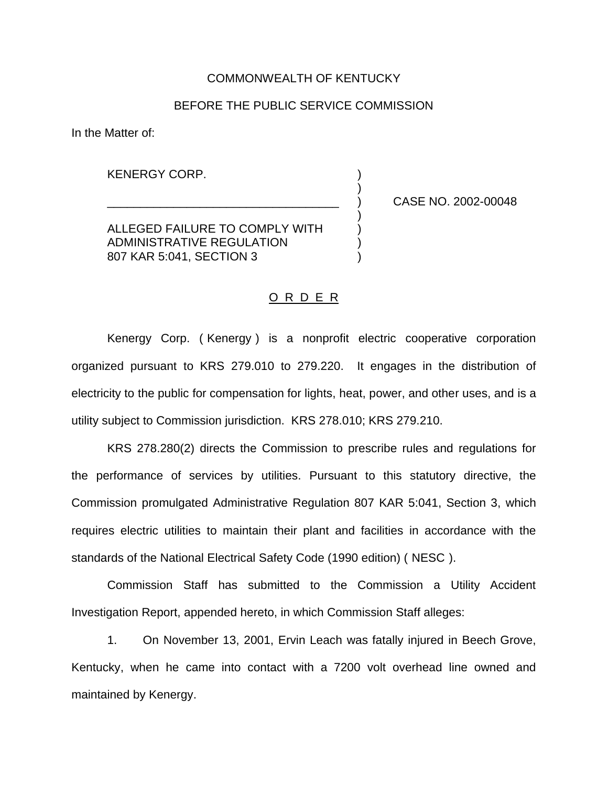### COMMONWEALTH OF KENTUCKY

## BEFORE THE PUBLIC SERVICE COMMISSION

)

)

In the Matter of:

KENERGY CORP.

ALLEGED FAILURE TO COMPLY WITH ADMINISTRATIVE REGULATION ) 807 KAR 5:041, SECTION 3 )

\_\_\_\_\_\_\_\_\_\_\_\_\_\_\_\_\_\_\_\_\_\_\_\_\_\_\_\_\_\_\_\_\_\_\_ ) CASE NO. 2002-00048

#### O R D E R

Kenergy Corp. ( Kenergy ) is a nonprofit electric cooperative corporation organized pursuant to KRS 279.010 to 279.220. It engages in the distribution of electricity to the public for compensation for lights, heat, power, and other uses, and is a utility subject to Commission jurisdiction. KRS 278.010; KRS 279.210.

KRS 278.280(2) directs the Commission to prescribe rules and regulations for the performance of services by utilities. Pursuant to this statutory directive, the Commission promulgated Administrative Regulation 807 KAR 5:041, Section 3, which requires electric utilities to maintain their plant and facilities in accordance with the standards of the National Electrical Safety Code (1990 edition) ( NESC ).

Commission Staff has submitted to the Commission a Utility Accident Investigation Report, appended hereto, in which Commission Staff alleges:

1. On November 13, 2001, Ervin Leach was fatally injured in Beech Grove, Kentucky, when he came into contact with a 7200 volt overhead line owned and maintained by Kenergy.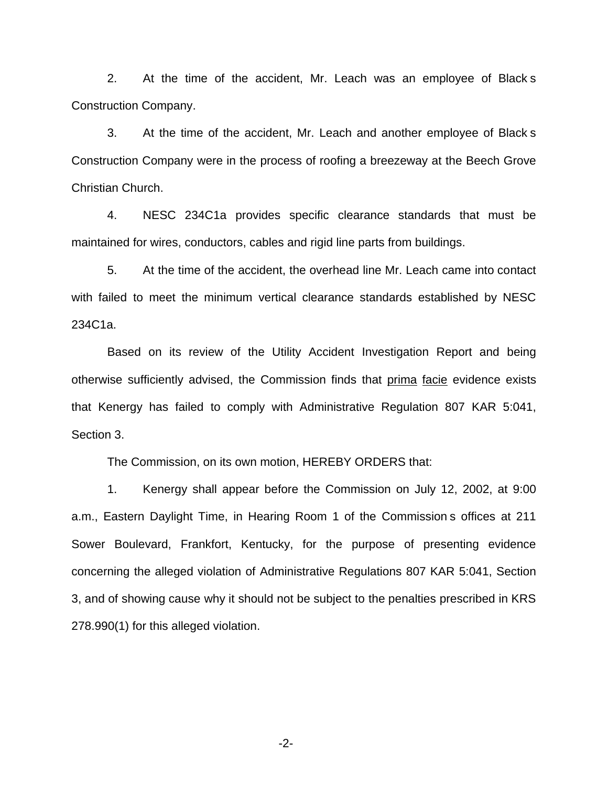2. At the time of the accident, Mr. Leach was an employee of Black s Construction Company.

3. At the time of the accident, Mr. Leach and another employee of Black s Construction Company were in the process of roofing a breezeway at the Beech Grove Christian Church.

4. NESC 234C1a provides specific clearance standards that must be maintained for wires, conductors, cables and rigid line parts from buildings.

5. At the time of the accident, the overhead line Mr. Leach came into contact with failed to meet the minimum vertical clearance standards established by NESC 234C1a.

Based on its review of the Utility Accident Investigation Report and being otherwise sufficiently advised, the Commission finds that prima facie evidence exists that Kenergy has failed to comply with Administrative Regulation 807 KAR 5:041, Section 3.

The Commission, on its own motion, HEREBY ORDERS that:

1. Kenergy shall appear before the Commission on July 12, 2002, at 9:00 a.m., Eastern Daylight Time, in Hearing Room 1 of the Commission s offices at 211 Sower Boulevard, Frankfort, Kentucky, for the purpose of presenting evidence concerning the alleged violation of Administrative Regulations 807 KAR 5:041, Section 3, and of showing cause why it should not be subject to the penalties prescribed in KRS 278.990(1) for this alleged violation.

-2-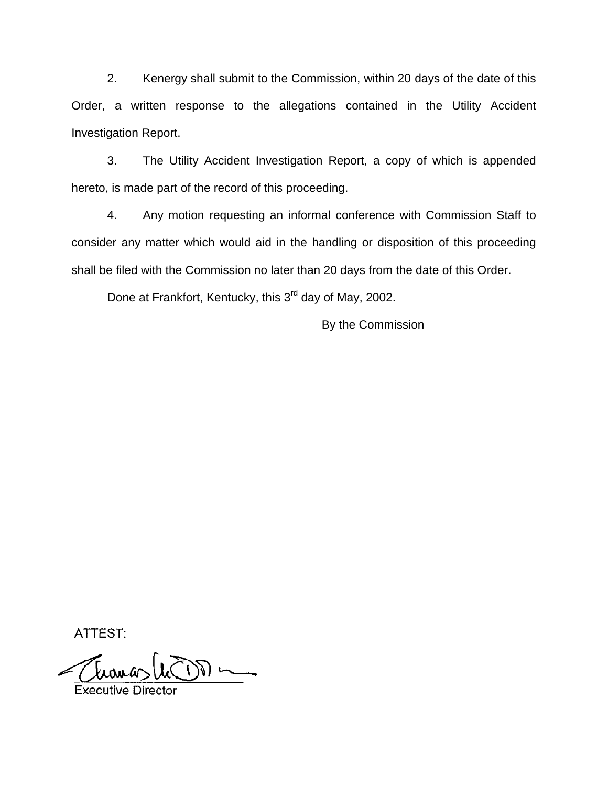2. Kenergy shall submit to the Commission, within 20 days of the date of this Order, a written response to the allegations contained in the Utility Accident Investigation Report.

3. The Utility Accident Investigation Report, a copy of which is appended hereto, is made part of the record of this proceeding.

4. Any motion requesting an informal conference with Commission Staff to consider any matter which would aid in the handling or disposition of this proceeding shall be filed with the Commission no later than 20 days from the date of this Order.

Done at Frankfort, Kentucky, this 3<sup>rd</sup> day of May, 2002.

By the Commission

ATTEST:

**Executive Director**